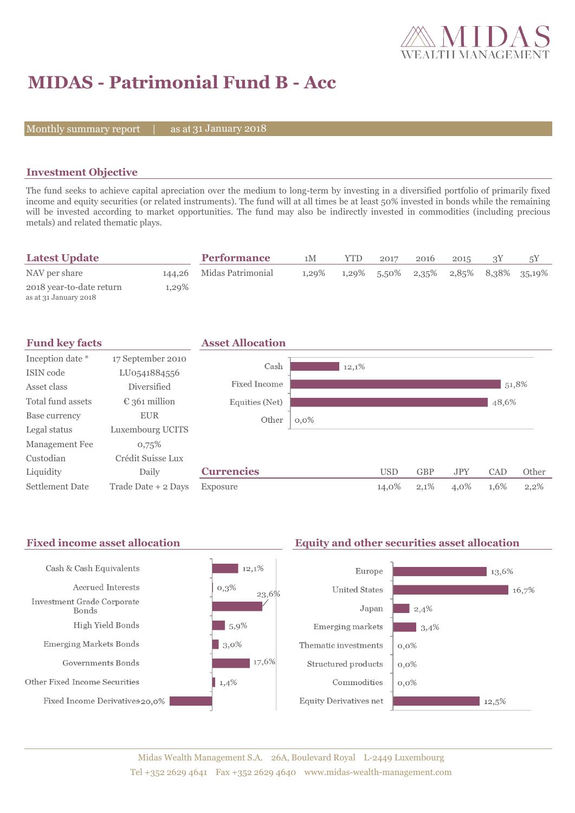

# **MIDAS - Patrimonial Fund B - Acc**

Monthly summary report  $|$ 

as at 31 January 2018

### **Investment Objective**

The fund seeks to achieve capital apreciation over the medium to long-term by investing in a diversified portfolio of primarily fixed income and equity securities (or related instruments). The fund will at all times be at least 50% invested in bonds while the remaining will be invested according to market opportunities. The fund may also be indirectly invested in commodities (including precious metals) and related thematic plays.

| <b>Latest Update</b>                              |       | <b>Performance</b>       | 1M       | YTD. | 2017        | 2016 | 2015 | 5Y                                   |
|---------------------------------------------------|-------|--------------------------|----------|------|-------------|------|------|--------------------------------------|
| NAV per share                                     |       | 144,26 Midas Patrimonial | $1,29\%$ |      | 1,29% 5,50% |      |      | $2,35\%$ $2,85\%$ $8,38\%$ $35,19\%$ |
| 2018 year-to-date return<br>as at 31 January 2018 | 1,29% |                          |          |      |             |      |      |                                      |



#### Fixed income asset allocation **Equity and other securities asset allocation**

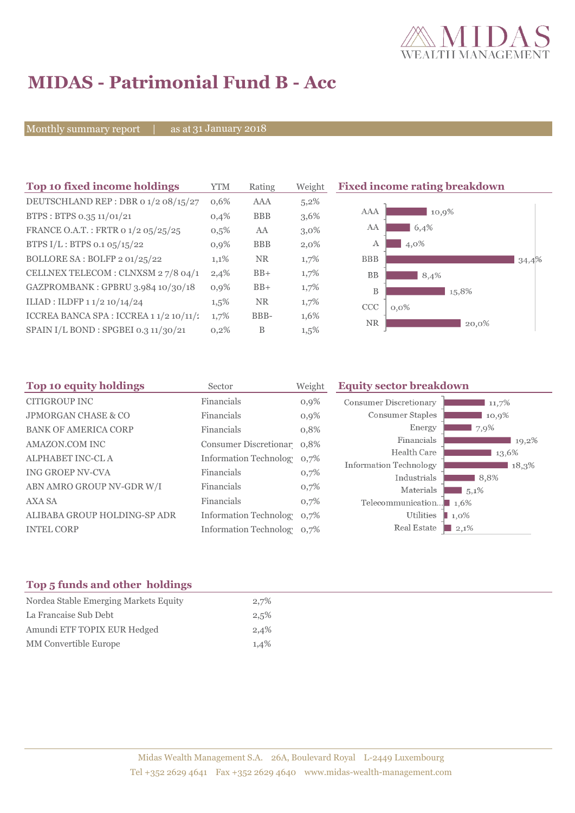

 $\Box$  34,4%

# **MIDAS - Patrimonial Fund B - Acc**

Monthly summary report | as at 31 January 2018

| Top 10 fixed income holdings            | <b>YTM</b> | Rating     | Weight  | <b>Fixed income rating breakdown</b> |
|-----------------------------------------|------------|------------|---------|--------------------------------------|
| DEUTSCHLAND REP : DBR 0 1/2 08/15/27    | 0,6%       | AAA        | 5,2%    |                                      |
| BTPS: BTPS 0.35 11/01/21                | 0,4%       | <b>BBB</b> | 3,6%    | AAA<br>10,9%                         |
| FRANCE O.A.T.: FRTR 0 1/2 05/25/25      | 0,5%       | AA         | $3,0\%$ | AA<br>6,4%                           |
| BTPS I/L: BTPS 0.1 05/15/22             | $0.9\%$    | <b>BBB</b> | $2,0\%$ | 4,0%<br>А                            |
| BOLLORE SA: BOLFP 2 01/25/22            | 1,1%       | <b>NR</b>  | 1,7%    | <b>BBB</b>                           |
| CELLNEX TELECOM : CLNXSM 27/8 04/1      | 2,4%       | $BB+$      | 1,7%    | <b>BB</b><br>8,4%                    |
| GAZPROMBANK: GPBRU 3.984 10/30/18       | 0,9%       | $BB+$      | 1,7%    | B<br>15,8%                           |
| ILIAD: ILDFP 1 1/2 10/14/24             | $1,5\%$    | <b>NR</b>  | 1,7%    | CCC<br>$0,0\%$                       |
| ICCREA BANCA SPA : ICCREA 1 1/2 10/11/2 | 1,7%       | BBB-       | 1,6%    | <b>NR</b>                            |
| SPAIN I/L BOND : SPGBEI 0.3 11/30/21    | 0,2%       | B          | $1,5\%$ | 20,0%                                |

| Top 10 equity holdings<br>Sector |                              | Weight  | <b>Equity sector breakdown</b> |                 |
|----------------------------------|------------------------------|---------|--------------------------------|-----------------|
| <b>CITIGROUP INC</b>             | Financials                   | $0,9\%$ | Consumer Discretionary         | 11,7%           |
| <b>JPMORGAN CHASE &amp; CO</b>   | Financials                   | $0,9\%$ | Consumer Staples               | 10,9%           |
| <b>BANK OF AMERICA CORP</b>      | Financials                   | 0,8%    | Energy                         | 7,9%            |
| AMAZON.COM INC                   | Consumer Discretionar 0,8%   |         | Financials                     | 19,2%           |
| ALPHABET INC-CL A                | Information Technolog 0,7%   |         | Health Care                    | 13,6%           |
| ING GROEP NV-CVA                 | Financials                   | 0,7%    | Information Technology         | 18,3%           |
| ABN AMRO GROUP NV-GDR W/I        | Financials                   | 0,7%    | Industrials<br>Materials       | 8,8%<br>$5,1\%$ |
| AXA SA                           | Financials                   | 0,7%    | Telecommunication              | $1.6\%$         |
| ALIBABA GROUP HOLDING-SP ADR     | <b>Information Technolog</b> | 0,7%    | Utilities                      | $1,0\%$         |
| <b>INTEL CORP</b>                | Information Technolog 0,7%   |         | Real Estate                    | $\perp 2,1\%$   |

### **Top 5 funds and other holdings**

| Nordea Stable Emerging Markets Equity | 2,7% |
|---------------------------------------|------|
| La Francaise Sub Debt                 | 2,5% |
| Amundi ETF TOPIX EUR Hedged           | 2,4% |
| MM Convertible Europe                 | 1.4% |